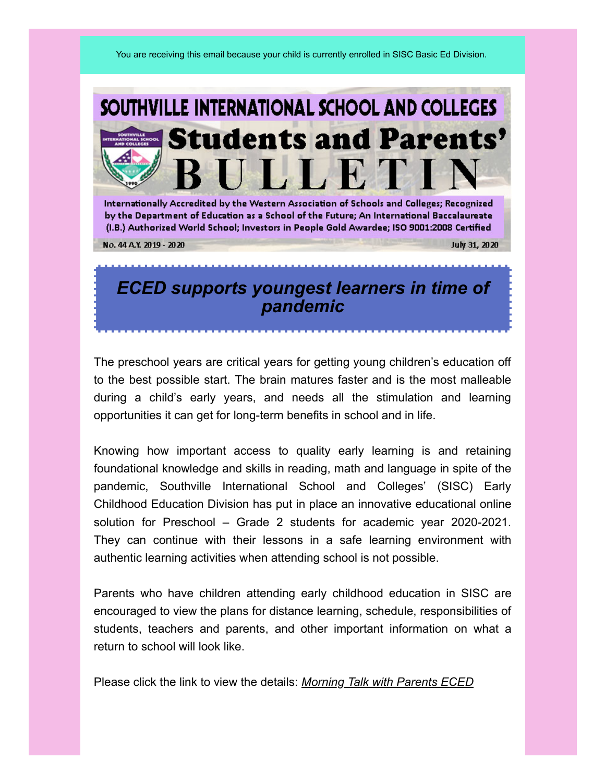You are receiving this email because your child is currently enrolled in SISC Basic Ed Division.

# SOUTHVILLE INTERNATIONAL SCHOOL AND COLLEGES **Students and Parents' ILLETIN** Internationally Accredited by the Western Association of Schools and Colleges; Recognized

by the Department of Education as a School of the Future; An International Baccalaureate (I.B.) Authorized World School; Investors in People Gold Awardee; ISO 9001:2008 Certified

No. 44 A.Y. 2019 - 2020

July 31, 2020

## *ECED supports youngest learners in time of pandemic*

The preschool years are critical years for getting young children's education off to the best possible start. The brain matures faster and is the most malleable during a child's early years, and needs all the stimulation and learning opportunities it can get for long-term benefits in school and in life.

Knowing how important access to quality early learning is and retaining foundational knowledge and skills in reading, math and language in spite of the pandemic, Southville International School and Colleges' (SISC) Early Childhood Education Division has put in place an innovative educational online solution for Preschool – Grade 2 students for academic year 2020-2021. They can continue with their lessons in a safe learning environment with authentic learning activities when attending school is not possible.

Parents who have children attending early childhood education in SISC are encouraged to view the plans for distance learning, schedule, responsibilities of students, teachers and parents, and other important information on what a return to school will look like.

Please click the link to view the details: *[Morning Talk with Parents ECED](https://mcusercontent.com/b27ca7aabe470c9514447b74d/files/60d0f8cb-0536-40c7-8e17-7384337e59d7/Morning_Talk_with_Parents.03.pdf)*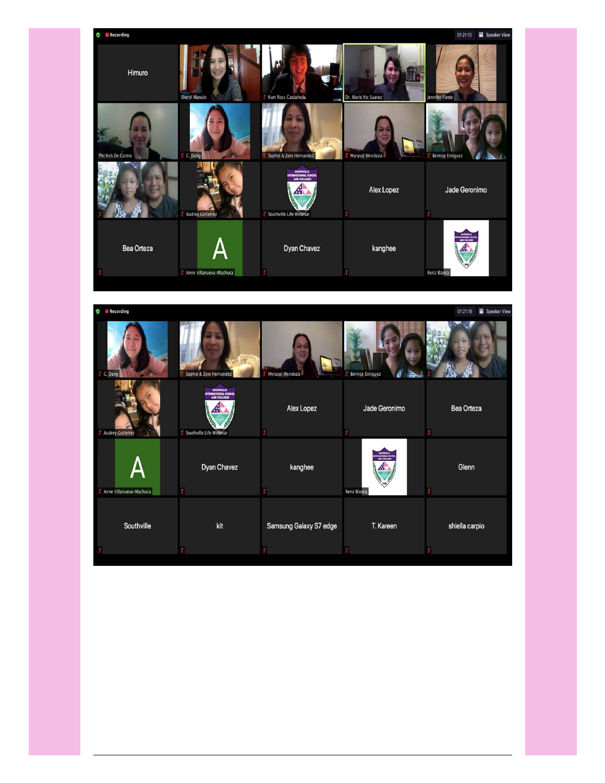| <b>Recording</b><br>G |                         |                                                                               |                      | Speaker View<br>01:21:10                        |
|-----------------------|-------------------------|-------------------------------------------------------------------------------|----------------------|-------------------------------------------------|
| Himuro                | Sheryl Manalo           | л<br>Kurt Ross Castañeda                                                      | Dr. Marie Vic Suarez | Jennifer Fonte                                  |
| Phi Anh De Castro     | C. Dang                 | Sophie & Zoie Hernandez                                                       | Myrasol Mendoza      | <b>Bernice Enriquez</b>                         |
|                       | <b>Audrey Gutierrez</b> | SOUTHVILLE<br>INTERNATIONAL SCHOOL<br>AND COLLEGES<br>Southville Life Webinar | Alex Lopez           | Jade Geronimo                                   |
| Bea Orteza            | Anne Villanueva-Machuca | Dyan Chavez                                                                   | kanghee              | SOUTHWILLE<br>HERRATIONAL SCHOOL<br>Renz Blanca |

| <b>Recording</b><br>ø   |                                                                               |                        |                          | Speaker View<br>01:21:18 |
|-------------------------|-------------------------------------------------------------------------------|------------------------|--------------------------|--------------------------|
| Z C. Dang               | Sophie & Zoie Hernandez                                                       | Myrasol Mendoza        | <b>Bernice Enriquez</b>  |                          |
| Audrey Gutierrez        | SOUTHVILLE<br>INTERNATIONAL SCHOOL<br>AND COLLEGES<br>Southville Life Webinar | Alex Lopez             | Jade Geronimo            | <b>Bea Orteza</b>        |
| Anne Villanueva-Machuca | Dyan Chavez                                                                   | kanghee                | SOUTHWALE<br>Renz Blanca | Glenn                    |
| Southville              | kit                                                                           | Samsung Galaxy S7 edge | T. Kareen                | shiella carpio           |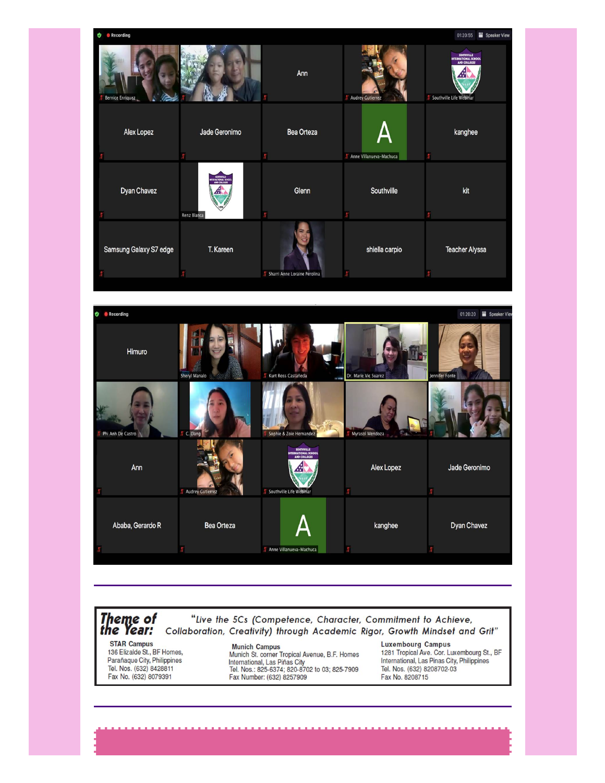| <b>Recording</b><br>O  |                                                                              |                              |                         | 01:20:55   Speaker View                                                                    |
|------------------------|------------------------------------------------------------------------------|------------------------------|-------------------------|--------------------------------------------------------------------------------------------|
| Bernice Enriquez       |                                                                              | Ann                          | Audrey Gutierrez        | <b>SOUTHVILLE</b><br><b>NTERNATIONAL SCHOOL</b><br>AND COLLEGES<br>Southville Life Webinar |
| Alex Lopez             | Jade Geronimo                                                                | Bea Orteza                   | Anne Villanueva-Machuca | kanghee                                                                                    |
| Dyan Chavez            | <b>SOUTHWALE</b><br><b>TERNATIONAL SCHOOL</b><br>AND COLLEGES<br>Renz Blanca | Glenn                        | Southville              | kit                                                                                        |
| Samsung Galaxy S7 edge | T. Kareen                                                                    | Sharri Anne Loraine Perolina | shiella carpio          | <b>Teacher Alyssa</b>                                                                      |



#### Theme of<br>the Year: "Live the 5Cs (Competence, Character, Commitment to Achieve, Collaboration, Creativity) through Academic Rigor, Growth Mindset and Grit"

**STAR Campus** 136 Elizalde St., BF Homes, Parañaque City, Philippines Tel. Nos. (632) 8428811 Fax No. (632) 8079391

Munich Campus<br>Munich St. corner Tropical Avenue, B.F. Homes<br>International, Las Piñas City<br>Tel. Nos.: 825-6374; 820-8702 to 03; 825-7909<br>Fax Number: (632) 8257909

**Luxembourg Campus** 1281 Tropical Ave. Cor. Luxembourg St., BF International, Las Pinas City, Philippines Tel. Nos. (632) 8208702-03 Fax No. 8208715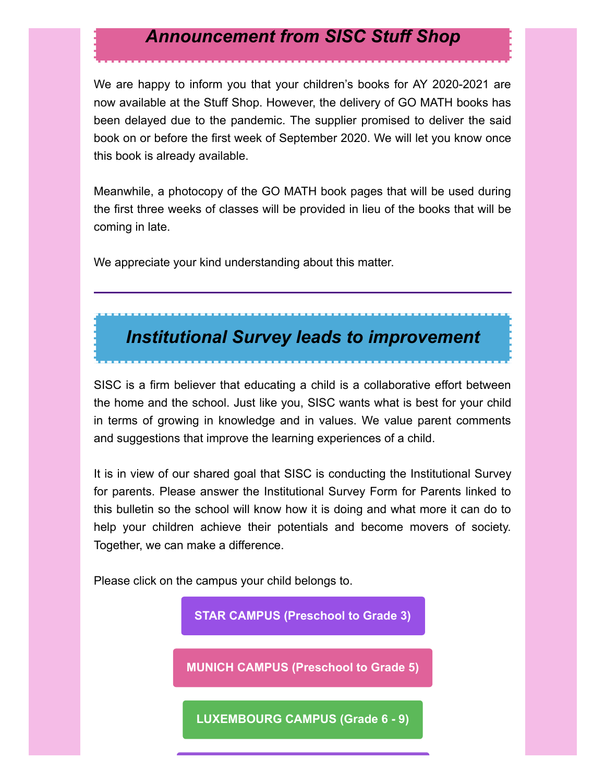### *Announcement from SISC Stuff Shop*

We are happy to inform you that your children's books for AY 2020-2021 are now available at the Stuff Shop. However, the delivery of GO MATH books has been delayed due to the pandemic. The supplier promised to deliver the said book on or before the first week of September 2020. We will let you know once this book is already available.

Meanwhile, a photocopy of the GO MATH book pages that will be used during the first three weeks of classes will be provided in lieu of the books that will be coming in late.

We appreciate your kind understanding about this matter.

# *Institutional Survey leads to improvement*

SISC is a firm believer that educating a child is a collaborative effort between the home and the school. Just like you, SISC wants what is best for your child in terms of growing in knowledge and in values. We value parent comments and suggestions that improve the learning experiences of a child.

It is in view of our shared goal that SISC is conducting the Institutional Survey for parents. Please answer the Institutional Survey Form for Parents linked to this bulletin so the school will know how it is doing and what more it can do to help your children achieve their potentials and become movers of society. Together, we can make a difference.

Please click on the campus your child belongs to.

**[STAR CAMPUS \(Preschool to Grade 3\)](https://docs.google.com/forms/d/e/1FAIpQLSfOI3eH4JahBpLZXipWI8SA31BY4Q6-qNaW1a0qK-k22KrLkQ/viewform)**

**[MUNICH CAMPUS \(Preschool to Grade 5\)](https://docs.google.com/forms/d/e/1FAIpQLScFhKh8Dmr1EGm4wf2wdPwsi0emrGJknjKoGQicDfMhIJauMQ/viewform)**

**[LUXEMBOURG CAMPUS \(Grade 6 - 9\)](https://docs.google.com/forms/d/e/1FAIpQLSf0Q9oKLlA1Jl9yghb8R15oSv37BsiNUTMNMTbrbncHdhbFOw/viewform)**